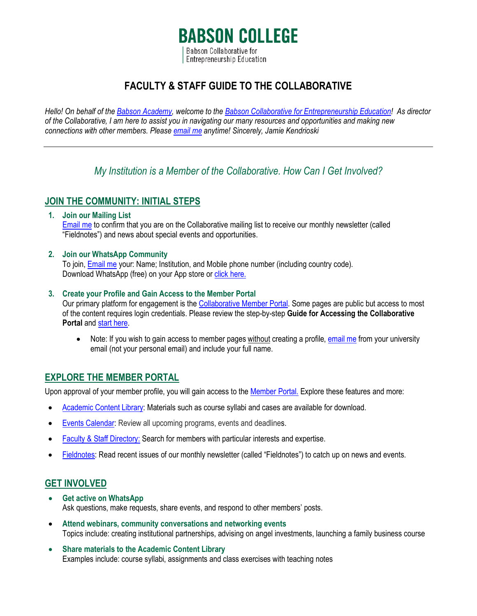# **BABSON COLLEGE** Babson Collaborative for **Entrepreneurship Education**

# **FACULTY & STAFF GUIDE TO THE COLLABORATIVE**

*Hello! On behalf of the [Babson Academy,](http://www.babson.edu/babsonacademy) welcome to the [Babson Collaborative for Entrepreneurship Education!](https://www.babson.edu/academics/babson-academy/the-babson-collaborative/join-the-babson-collaborative/) As director of the Collaborative, I am here to assist you in navigating our many resources and opportunities and making new connections with other members. Pleas[e email me](mailto:BabsonCollaborative@babson.edu) anytime! Sincerely, Jamie Kendrioski*

# *My Institution is a Member of the Collaborative. How Can I Get Involved?*

# **JOIN THE COMMUNITY: INITIAL STEPS**

### **1. Join our Mailing List**

[Email me](mailto:BabsonCollaborative@babson.edu) to confirm that you are on the Collaborative mailing list to receive our monthly newsletter (called "Fieldnotes") and news about special events and opportunities.

#### **2. Join our WhatsApp Community**

To join, [Email](mailto:BabsonCollaborative@babson.edu) me your: Name; Institution, and Mobile phone number (including country code). Download WhatsApp (free) on your App store o[r click here.](mailto:https://www.whatsapp.com/download)

#### **3. Create your Profile and Gain Access to the Member Portal**

Our primary platform for engagement is the [Collaborative Member Portal.](https://www.babsoncollaborative.org/) Some pages are public but access to most of the content requires login credentials. Please review the step-by-step **Guide for Accessing the Collaborative Portal** an[d start here.](https://www.babsoncollaborative.org/create-your-profile.html)

• Note: If you wish to gain access to member pages without creating a profile, [email me](mailto:BabsonCollaborative@babson.edu) from your university email (not your personal email) and include your full name.

## **EXPLORE THE MEMBER PORTAL**

Upon approval of your member profile, you will gain access to th[e Member Portal.](https://www.babsoncollaborative.org/) Explore these features and more:

- [Academic Content](https://www.babsoncollaborative.org/academic-content-library.html) Library: Materials such as course syllabi and cases are available for download.
- [Events Calendar:](https://www.babsoncollaborative.org/events-calendar.html) Review all upcoming programs, events and deadlines.
- [Faculty & Staff Directory:](https://www.babsoncollaborative.org/faculty--staff-directory.html) Search for members with particular interests and expertise.
- [Fieldnotes:](https://www.babsoncollaborative.org/fieldnotes.html) Read recent issues of our monthly newsletter (called "Fieldnotes") to catch up on news and events.

## **GET INVOLVED**

- **Get active on WhatsApp** Ask questions, make requests, share events, and respond to other members' posts.
- **Attend webinars, community conversations and networking events** Topics include: creating institutional partnerships, advising on angel investments, launching a family business course
- **Share materials to the Academic Content Library** Examples include: course syllabi, assignments and class exercises with teaching notes